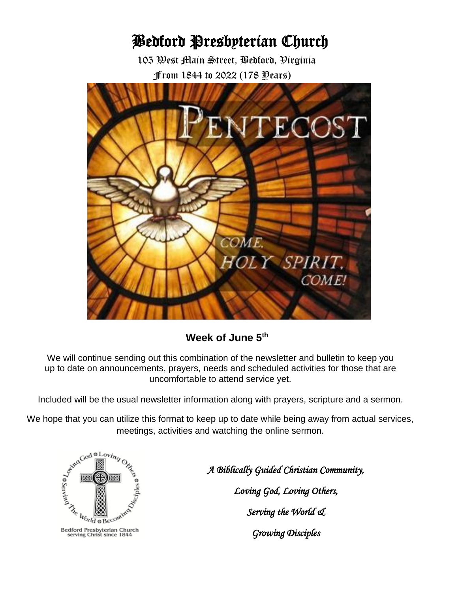# Bedford Presbyterian Church

 105 West Main Street, Bedford, Virginia From 1844 to 2022 (178 Years)



# **Week of June 5th**

We will continue sending out this combination of the newsletter and bulletin to keep you up to date on announcements, prayers, needs and scheduled activities for those that are uncomfortable to attend service yet.

Included will be the usual newsletter information along with prayers, scripture and a sermon.

We hope that you can utilize this format to keep up to date while being away from actual services, meetings, activities and watching the online sermon.



*A Biblically Guided Christian Community,*<br> *A Biblically Guided Christian Community,*<br> *Loving God, Loving Others,*<br> *Serving the World eL Loving God, Loving Others, Serving the World &*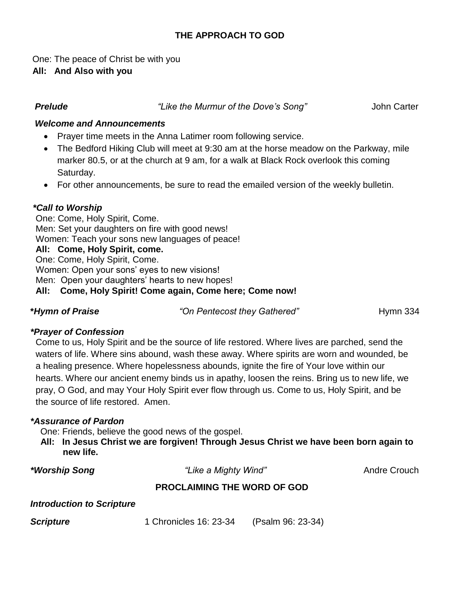# **THE APPROACH TO GOD**

 One: The peace of Christ be with you  **All: And Also with you** 

 *Prelude "Like the Murmur of the Dove's Song"* John Carter

# *Welcome and Announcements*

- Prayer time meets in the Anna Latimer room following service.
- The Bedford Hiking Club will meet at 9:30 am at the horse meadow on the Parkway, mile marker 80.5, or at the church at 9 am, for a walk at Black Rock overlook this coming Saturday.
- For other announcements, be sure to read the emailed version of the weekly bulletin.

# *\*Call to Worship*

One: Come, Holy Spirit, Come. Men: Set your daughters on fire with good news! Women: Teach your sons new languages of peace! **All: Come, Holy Spirit, come.** One: Come, Holy Spirit, Come. Women: Open your sons' eyes to new visions! Men: Open your daughters' hearts to new hopes! **All: Come, Holy Spirit! Come again, Come here; Come now!**

\**Hymn* **of Praise <b>***Praise Praise Propertion Figures <i>Praise Propertion Pentecost they Gathered"* **Hymn 334** 

#### *\*Prayer of Confession*

Come to us, Holy Spirit and be the source of life restored. Where lives are parched, send the waters of life. Where sins abound, wash these away. Where spirits are worn and wounded, be a healing presence. Where hopelessness abounds, ignite the fire of Your love within our hearts. Where our ancient enemy binds us in apathy, loosen the reins. Bring us to new life, we pray, O God, and may Your Holy Spirit ever flow through us. Come to us, Holy Spirit, and be the source of life restored. Amen.

#### *\*Assurance of Pardon*

One: Friends, believe the good news of the gospel.

 **All: In Jesus Christ we are forgiven! Through Jesus Christ we have been born again to new life.**

*\*Worship Song "Like a Mighty Wind"* Andre Crouch

# **PROCLAIMING THE WORD OF GOD**

#### *Introduction to Scripture*

**Scripture** 1 Chronicles 16: 23-34 (Psalm 96: 23-34)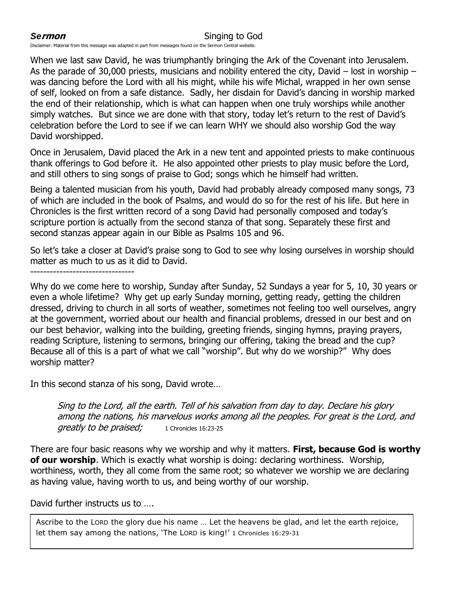### **Sermon** Singing to God

Disclaimer: Material from this message was adapted in part from messages found on the Sermon Central website.

When we last saw David, he was triumphantly bringing the Ark of the Covenant into Jerusalem. As the parade of 30,000 priests, musicians and nobility entered the city, David – lost in worship – was dancing before the Lord with all his might, while his wife Michal, wrapped in her own sense of self, looked on from a safe distance. Sadly, her disdain for David's dancing in worship marked the end of their relationship, which is what can happen when one truly worships while another simply watches. But since we are done with that story, today let's return to the rest of David's celebration before the Lord to see if we can learn WHY we should also worship God the way David worshipped.

Once in Jerusalem, David placed the Ark in a new tent and appointed priests to make continuous thank offerings to God before it. He also appointed other priests to play music before the Lord, and still others to sing songs of praise to God; songs which he himself had written.

Being a talented musician from his youth, David had probably already composed many songs, 73 of which are included in the book of Psalms, and would do so for the rest of his life. But here in Chronicles is the first written record of a song David had personally composed and today's scripture portion is actually from the second stanza of that song. Separately these first and second stanzas appear again in our Bible as Psalms 105 and 96.

So let's take a closer at David's praise song to God to see why losing ourselves in worship should matter as much to us as it did to David.

--------------------------------

Why do we come here to worship, Sunday after Sunday, 52 Sundays a year for 5, 10, 30 years or even a whole lifetime? Why get up early Sunday morning, getting ready, getting the children dressed, driving to church in all sorts of weather, sometimes not feeling too well ourselves, angry at the government, worried about our health and financial problems, dressed in our best and on our best behavior, walking into the building, greeting friends, singing hymns, praying prayers, reading Scripture, listening to sermons, bringing our offering, taking the bread and the cup? Because all of this is a part of what we call "worship". But why do we worship?" Why does worship matter?

In this second stanza of his song, David wrote…

Sing to the Lord, all the earth. Tell of his salvation from day to day. Declare his glory among the nations, his marvelous works among all the peoples. For great is the Lord, and greatly to be praised; 1 Chronicles 16:23-25

There are four basic reasons why we worship and why it matters. **First, because God is worthy of our worship**. Which is exactly what worship is doing: declaring worthiness. Worship, worthiness, worth, they all come from the same root; so whatever we worship we are declaring as having value, having worth to us, and being worthy of our worship.

David further instructs us to ….

Ascribe to the LORD the glory due his name … Let the heavens be glad, and let the earth rejoice, let them say among the nations, 'The LORD is king!' 1 Chronicles 16:29-31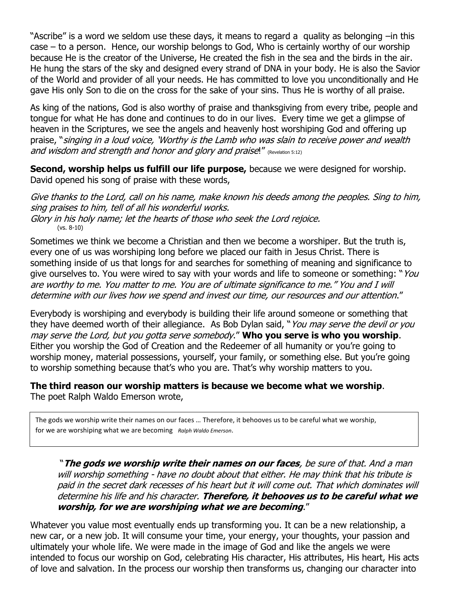"Ascribe" is a word we seldom use these days, it means to regard a quality as belonging –in this case – to a person. Hence, our worship belongs to God, Who is certainly worthy of our worship because He is the creator of the Universe, He created the fish in the sea and the birds in the air. He hung the stars of the sky and designed every strand of DNA in your body. He is also the Savior of the World and provider of all your needs. He has committed to love you unconditionally and He gave His only Son to die on the cross for the sake of your sins. Thus He is worthy of all praise.

As king of the nations, God is also worthy of praise and thanksgiving from every tribe, people and tongue for what He has done and continues to do in our lives. Every time we get a glimpse of heaven in the Scriptures, we see the angels and heavenly host worshiping God and offering up praise, "singing in a loud voice, 'Worthy is the Lamb who was slain to receive power and wealth and wisdom and strength and honor and glory and praise!" (Revelation 5:12)

**Second, worship helps us fulfill our life purpose,** because we were designed for worship. David opened his song of praise with these words,

Give thanks to the Lord, call on his name, make known his deeds among the peoples. Sing to him, sing praises to him, tell of all his wonderful works. Glory in his holy name; let the hearts of those who seek the Lord rejoice. (vs. 8-10)

Sometimes we think we become a Christian and then we become a worshiper. But the truth is, every one of us was worshiping long before we placed our faith in Jesus Christ. There is something inside of us that longs for and searches for something of meaning and significance to give ourselves to. You were wired to say with your words and life to someone or something: "You <sup>a</sup>re worthy to me. You matter to me. You are of ultimate significance to me." You and I will determine with our lives how we spend and invest our time, our resources and our attention."

Everybody is worshiping and everybody is building their life around someone or something that they have deemed worth of their allegiance. As Bob Dylan said, "You may serve the devil or you may serve the Lord, but you gotta serve somebody." **Who you serve is who you worship**. Either you worship the God of Creation and the Redeemer of all humanity or you're going to worship money, material possessions, yourself, your family, or something else. But you're going to worship something because that's who you are. That's why worship matters to you.

**The third reason our worship matters is because we become what we worship**. The poet Ralph Waldo Emerson wrote,

The gods we worship write their names on our faces … Therefore, it behooves us to be careful what we worship, for we are worshiping what we are becoming *Ralph Waldo Emerson*.

"**The gods we worship write their names on our faces**, be sure of that. And a man will worship something - have no doubt about that either. He may think that his tribute is paid in the secret dark recesses of his heart but it will come out. That which dominates will determine his life and his character. **Therefore, it behooves us to be careful what we worship, for we are worshiping what we are becoming**."

Whatever you value most eventually ends up transforming you. It can be a new relationship, a new car, or a new job. It will consume your time, your energy, your thoughts, your passion and ultimately your whole life. We were made in the image of God and like the angels we were intended to focus our worship on God, celebrating His character, His attributes, His heart, His acts of love and salvation. In the process our worship then transforms us, changing our character into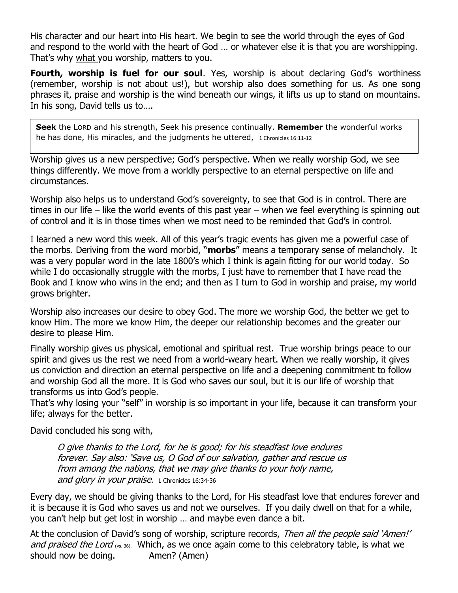His character and our heart into His heart. We begin to see the world through the eyes of God and respond to the world with the heart of God … or whatever else it is that you are worshipping. That's why what you worship, matters to you.

**Fourth, worship is fuel for our soul**. Yes, worship is about declaring God's worthiness (remember, worship is not about us!), but worship also does something for us. As one song phrases it, praise and worship is the wind beneath our wings, it lifts us up to stand on mountains. In his song, David tells us to….

**Seek** the LORD and his strength, Seek his presence continually. **Remember** the wonderful works he has done, His miracles, and the judgments he uttered, 1 Chronicles 16:11-12

Worship gives us a new perspective; God's perspective. When we really worship God, we see things differently. We move from a worldly perspective to an eternal perspective on life and circumstances.

Worship also helps us to understand God's sovereignty, to see that God is in control. There are times in our life – like the world events of this past year – when we feel everything is spinning out of control and it is in those times when we most need to be reminded that God's in control.

I learned a new word this week. All of this year's tragic events has given me a powerful case of the morbs. Deriving from the word morbid, "**morbs**" means a temporary sense of melancholy. It was a very popular word in the late 1800's which I think is again fitting for our world today. So while I do occasionally struggle with the morbs, I just have to remember that I have read the Book and I know who wins in the end; and then as I turn to God in worship and praise, my world grows brighter.

Worship also increases our desire to obey God. The more we worship God, the better we get to know Him. The more we know Him, the deeper our relationship becomes and the greater our desire to please Him.

Finally worship gives us physical, emotional and spiritual rest. True worship brings peace to our spirit and gives us the rest we need from a world-weary heart. When we really worship, it gives us conviction and direction an eternal perspective on life and a deepening commitment to follow and worship God all the more. It is God who saves our soul, but it is our life of worship that transforms us into God's people.

That's why losing your "self" in worship is so important in your life, because it can transform your life; always for the better.

David concluded his song with,

O give thanks to the Lord, for he is good; for his steadfast love endures forever. Say also: 'Save us, O God of our salvation, gather and rescue us from among the nations, that we may give thanks to your holy name, and glory in your praise. 1 Chronicles 16:34-36

Every day, we should be giving thanks to the Lord, for His steadfast love that endures forever and it is because it is God who saves us and not we ourselves. If you daily dwell on that for a while, you can't help but get lost in worship … and maybe even dance a bit.

At the conclusion of David's song of worship, scripture records, Then all the people said 'Amen!' and praised the Lord (vs. 36). Which, as we once again come to this celebratory table, is what we should now be doing. Amen? (Amen)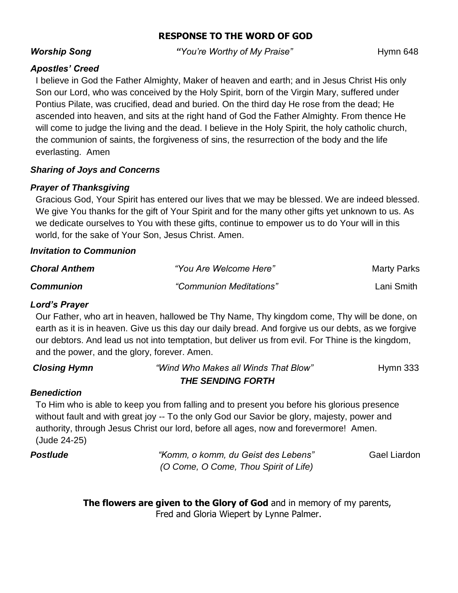# **RESPONSE TO THE WORD OF GOD**

**Worship Song The Constant of Constant Worthy of My Praise" Hymn 648** 

# *Apostles' Creed*

I believe in God the Father Almighty, Maker of heaven and earth; and in Jesus Christ His only Son our Lord, who was conceived by the Holy Spirit, born of the Virgin Mary, suffered under Pontius Pilate, was crucified, dead and buried. On the third day He rose from the dead; He ascended into heaven, and sits at the right hand of God the Father Almighty. From thence He will come to judge the living and the dead. I believe in the Holy Spirit, the holy catholic church, the communion of saints, the forgiveness of sins, the resurrection of the body and the life everlasting. Amen

# *Sharing of Joys and Concerns*

# *Prayer of Thanksgiving*

Gracious God, Your Spirit has entered our lives that we may be blessed. We are indeed blessed. We give You thanks for the gift of Your Spirit and for the many other gifts yet unknown to us. As we dedicate ourselves to You with these gifts, continue to empower us to do Your will in this world, for the sake of Your Son, Jesus Christ. Amen.

### *Invitation to Communion*

| <b>Choral Anthem</b> | "You Are Welcome Here"  | <b>Marty Parks</b> |
|----------------------|-------------------------|--------------------|
| <b>Communion</b>     | "Communion Meditations" | Lani Smith         |

# *Lord's Prayer*

Our Father, who art in heaven, hallowed be Thy Name, Thy kingdom come, Thy will be done, on earth as it is in heaven. Give us this day our daily bread. And forgive us our debts, as we forgive our debtors. And lead us not into temptation, but deliver us from evil. For Thine is the kingdom, and the power, and the glory, forever. Amen.

| <b>Closing Hymn</b> | "Wind Who Makes all Winds That Blow" | Hymn $333$ |
|---------------------|--------------------------------------|------------|
|                     | <b>THE SENDING FORTH</b>             |            |

# *Benediction*

To Him who is able to keep you from falling and to present you before his glorious presence without fault and with great joy -- To the only God our Savior be glory, majesty, power and authority, through Jesus Christ our lord, before all ages, now and forevermore! Amen. (Jude 24-25)

*Postlude "Komm, o komm, du Geist des Lebens"* Gael Liardon  *(O Come, O Come, Thou Spirit of Life)*

> **The flowers are given to the Glory of God** and in memory of my parents, Fred and Gloria Wiepert by Lynne Palmer.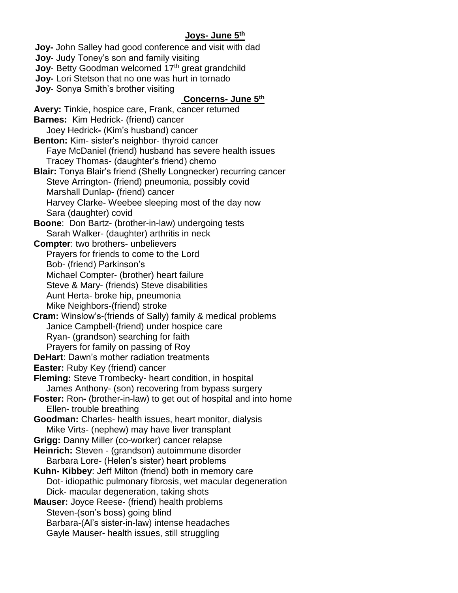### **Joys- June 5th**

 **Joy-** John Salley had good conference and visit with dad  **Joy**- Judy Toney's son and family visiting **Joy-** Betty Goodman welcomed 17<sup>th</sup> great grandchild  **Joy-** Lori Stetson that no one was hurt in tornado  **Joy**- Sonya Smith's brother visiting

#### **Concerns- June 5th**

**Avery:** Tinkie, hospice care, Frank, cancer returned **Barnes:** Kim Hedrick- (friend) cancer Joey Hedrick**-** (Kim's husband) cancer **Benton:** Kim- sister's neighbor- thyroid cancer Faye McDaniel (friend) husband has severe health issues Tracey Thomas- (daughter's friend) chemo **Blair:** Tonya Blair's friend (Shelly Longnecker) recurring cancer Steve Arrington- (friend) pneumonia, possibly covid Marshall Dunlap- (friend) cancer Harvey Clarke- Weebee sleeping most of the day now Sara (daughter) covid **Boone**: Don Bartz- (brother-in-law) undergoing tests Sarah Walker- (daughter) arthritis in neck **Compter**: two brothers- unbelievers Prayers for friends to come to the Lord Bob- (friend) Parkinson's Michael Compter- (brother) heart failure Steve & Mary- (friends) Steve disabilities Aunt Herta- broke hip, pneumonia Mike Neighbors-(friend) stroke **Cram:** Winslow's-(friends of Sally) family & medical problems Janice Campbell-(friend) under hospice care Ryan- (grandson) searching for faith Prayers for family on passing of Roy **DeHart**: Dawn's mother radiation treatments **Easter:** Ruby Key (friend) cancer **Fleming:** Steve Trombecky- heart condition, in hospital James Anthony- (son) recovering from bypass surgery **Foster:** Ron- (brother-in-law) to get out of hospital and into home Ellen- trouble breathing **Goodman:** Charles- health issues, heart monitor, dialysis Mike Virts- (nephew) may have liver transplant **Grigg:** Danny Miller (co-worker) cancer relapse **Heinrich:** Steven - (grandson) autoimmune disorder Barbara Lore- (Helen's sister) heart problems **Kuhn- Kibbey**: Jeff Milton (friend) both in memory care Dot- idiopathic pulmonary fibrosis, wet macular degeneration Dick- macular degeneration, taking shots **Mauser:** Joyce Reese- (friend) health problems Steven-(son's boss) going blind Barbara-(Al's sister-in-law) intense headaches Gayle Mauser- health issues, still struggling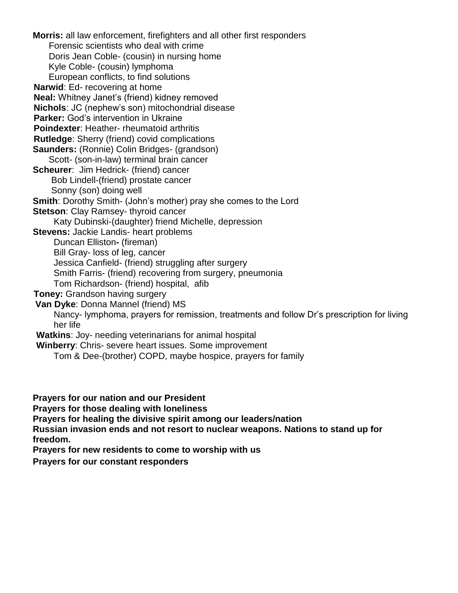**Morris:** all law enforcement, firefighters and all other first responders Forensic scientists who deal with crime Doris Jean Coble- (cousin) in nursing home Kyle Coble- (cousin) lymphoma European conflicts, to find solutions **Narwid**: Ed- recovering at home **Neal:** Whitney Janet's (friend) kidney removed **Nichols**: JC (nephew's son) mitochondrial disease **Parker:** God's intervention in Ukraine **Poindexter**: Heather- rheumatoid arthritis **Rutledge**: Sherry (friend) covid complications **Saunders:** (Ronnie) Colin Bridges- (grandson) Scott- (son-in-law) terminal brain cancer **Scheurer**: Jim Hedrick- (friend) cancer Bob Lindell-(friend) prostate cancer Sonny (son) doing well **Smith**: Dorothy Smith- (John's mother) pray she comes to the Lord **Stetson: Clay Ramsey- thyroid cancer**  Katy Dubinski-(daughter) friend Michelle, depression **Stevens:** Jackie Landis- heart problems Duncan Elliston**-** (fireman) Bill Gray- loss of leg, cancer Jessica Canfield- (friend) struggling after surgery Smith Farris- (friend) recovering from surgery, pneumonia Tom Richardson- (friend) hospital, afib **Toney: Grandson having surgery Van Dyke**: Donna Mannel (friend) MS Nancy- lymphoma, prayers for remission, treatments and follow Dr's prescription for living her life **Watkins**: Joy- needing veterinarians for animal hospital **Winberry**: Chris- severe heart issues. Some improvement Tom & Dee-(brother) COPD, maybe hospice, prayers for family

**Prayers for our nation and our President**

**Prayers for those dealing with loneliness** 

**Prayers for healing the divisive spirit among our leaders/nation**

**Russian invasion ends and not resort to nuclear weapons. Nations to stand up for freedom.**

**Prayers for new residents to come to worship with us** 

**Prayers for our constant responders**